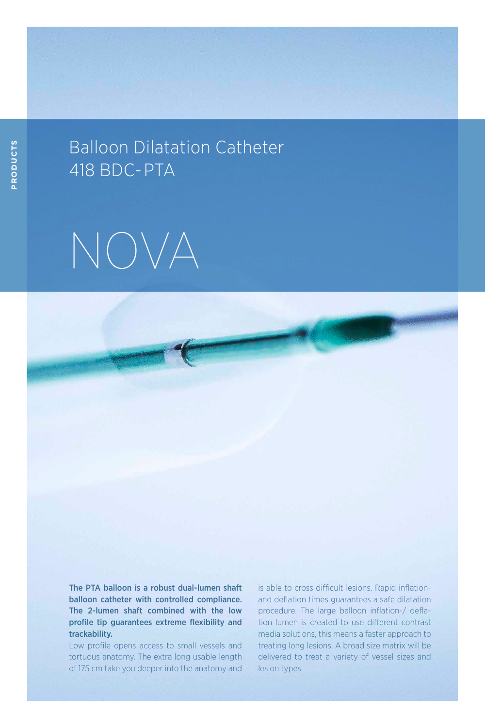## Balloon Dilatation Catheter 418 BDC- PTA



The PTA balloon is a robust dual-lumen shaft balloon catheter with controlled compliance. The 2-lumen shaft combined with the low profile tip guarantees extreme flexibility and trackability.

Low profile opens access to small vessels and tortuous anatomy. The extra long usable length of 175 cm take you deeper into the anatomy and is able to cross difficult lesions. Rapid inflationand deflation times guarantees a safe dilatation procedure. The large balloon inflation-/ deflation lumen is created to use different contrast media solutions, this means a faster approach to treating long lesions. A broad size matrix will be delivered to treat a variety of vessel sizes and lesion types.